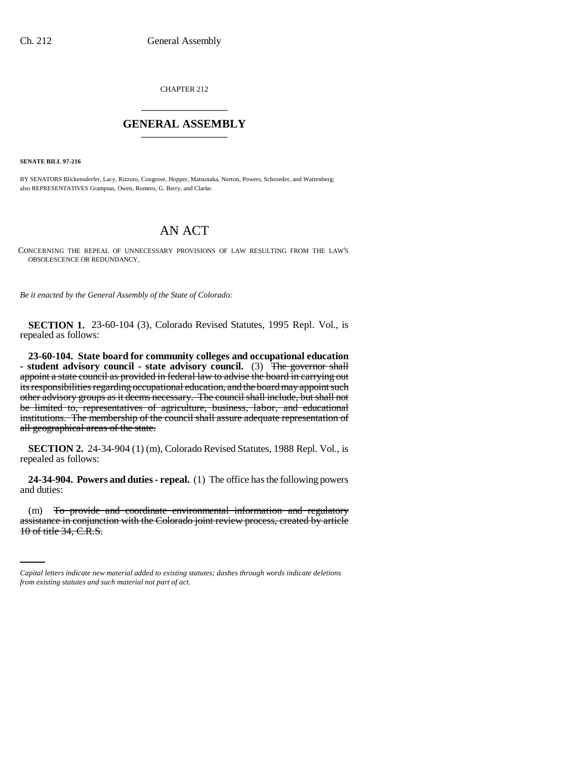CHAPTER 212 \_\_\_\_\_\_\_\_\_\_\_\_\_\_\_

## **GENERAL ASSEMBLY** \_\_\_\_\_\_\_\_\_\_\_\_\_\_\_

**SENATE BILL 97-216**

BY SENATORS Blickensderfer, Lacy, Rizzuto, Congrove, Hopper, Matsunaka, Norton, Powers, Schroeder, and Wattenberg; also REPRESENTATIVES Grampsas, Owen, Romero, G. Berry, and Clarke.

## AN ACT

CONCERNING THE REPEAL OF UNNECESSARY PROVISIONS OF LAW RESULTING FROM THE LAW'S OBSOLESCENCE OR REDUNDANCY.

*Be it enacted by the General Assembly of the State of Colorado:*

**SECTION 1.** 23-60-104 (3), Colorado Revised Statutes, 1995 Repl. Vol., is repealed as follows:

**23-60-104. State board for community colleges and occupational education - student advisory council - state advisory council.** (3) The governor shall appoint a state council as provided in federal law to advise the board in carrying out its responsibilities regarding occupational education, and the board may appoint such other advisory groups as it deems necessary. The council shall include, but shall not be limited to, representatives of agriculture, business, labor, and educational institutions. The membership of the council shall assure adequate representation of all geographical areas of the state.

**SECTION 2.** 24-34-904 (1) (m), Colorado Revised Statutes, 1988 Repl. Vol., is repealed as follows:

**24-34-904. Powers and duties - repeal.** (1) The office has the following powers and duties:

(m) To provide and coordinate environmental information and regulatory assistance in conjunction with the Colorado joint review process, created by article 10 of title 34, C.R.S.

*Capital letters indicate new material added to existing statutes; dashes through words indicate deletions from existing statutes and such material not part of act.*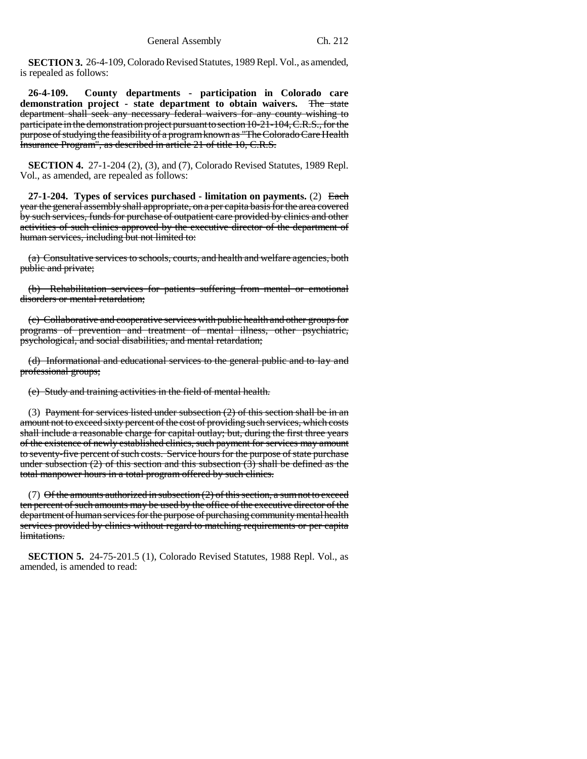**SECTION 3.** 26-4-109, Colorado Revised Statutes, 1989 Repl. Vol., as amended, is repealed as follows:

**26-4-109. County departments - participation in Colorado care demonstration project - state department to obtain waivers.** The state department shall seek any necessary federal waivers for any county wishing to participate in the demonstration project pursuant to section 10-21-104, C.R.S., for the purpose of studying the feasibility of a program known as "The Colorado Care Health Insurance Program", as described in article 21 of title 10, C.R.S.

**SECTION 4.** 27-1-204 (2), (3), and (7), Colorado Revised Statutes, 1989 Repl. Vol., as amended, are repealed as follows:

**27-1-204. Types of services purchased - limitation on payments.** (2) Each year the general assembly shall appropriate, on a per capita basis for the area covered by such services, funds for purchase of outpatient care provided by clinics and other activities of such clinics approved by the executive director of the department of human services, including but not limited to:

(a) Consultative services to schools, courts, and health and welfare agencies, both public and private;

(b) Rehabilitation services for patients suffering from mental or emotional disorders or mental retardation;

(c) Collaborative and cooperative services with public health and other groups for programs of prevention and treatment of mental illness, other psychiatric, psychological, and social disabilities, and mental retardation;

(d) Informational and educational services to the general public and to lay and professional groups;

(e) Study and training activities in the field of mental health.

(3) Payment for services listed under subsection  $(2)$  of this section shall be in an amount not to exceed sixty percent of the cost of providing such services, which costs shall include a reasonable charge for capital outlay; but, during the first three years of the existence of newly established clinics, such payment for services may amount to seventy-five percent of such costs. Service hours for the purpose of state purchase under subsection  $(2)$  of this section and this subsection  $(3)$  shall be defined as the total manpower hours in a total program offered by such clinics.

(7) Of the amounts authorized in subsection  $(2)$  of this section, a sum not to exceed ten percent of such amounts may be used by the office of the executive director of the department of human services for the purpose of purchasing community mental health services provided by clinics without regard to matching requirements or per capita limitations.

**SECTION 5.** 24-75-201.5 (1), Colorado Revised Statutes, 1988 Repl. Vol., as amended, is amended to read: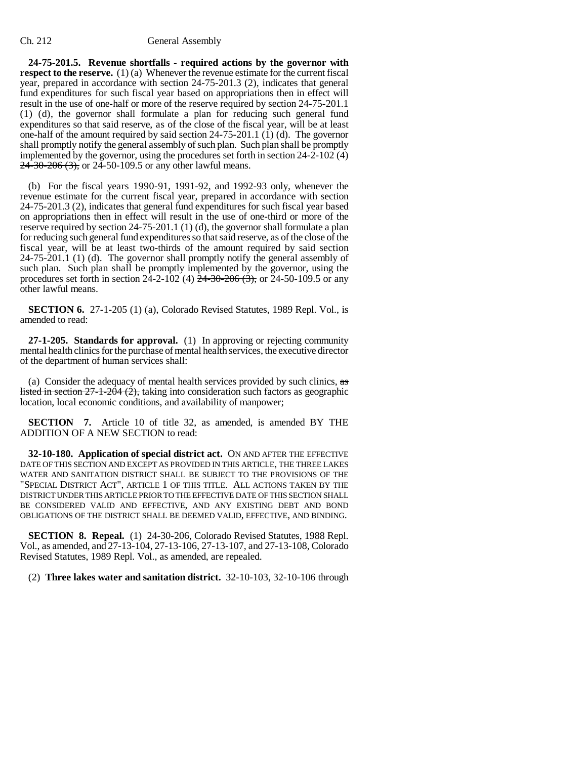## Ch. 212 General Assembly

**24-75-201.5. Revenue shortfalls - required actions by the governor with respect to the reserve.** (1) (a) Whenever the revenue estimate for the current fiscal year, prepared in accordance with section 24-75-201.3 (2), indicates that general fund expenditures for such fiscal year based on appropriations then in effect will result in the use of one-half or more of the reserve required by section 24-75-201.1 (1) (d), the governor shall formulate a plan for reducing such general fund expenditures so that said reserve, as of the close of the fiscal year, will be at least one-half of the amount required by said section 24-75-201.1 (1) (d). The governor shall promptly notify the general assembly of such plan. Such plan shall be promptly implemented by the governor, using the procedures set forth in section 24-2-102 (4)  $24\overline{-30\cdot 206(3)}$ , or 24-50-109.5 or any other lawful means.

(b) For the fiscal years 1990-91, 1991-92, and 1992-93 only, whenever the revenue estimate for the current fiscal year, prepared in accordance with section 24-75-201.3 (2), indicates that general fund expenditures for such fiscal year based on appropriations then in effect will result in the use of one-third or more of the reserve required by section 24-75-201.1 (1) (d), the governor shall formulate a plan for reducing such general fund expenditures so that said reserve, as of the close of the fiscal year, will be at least two-thirds of the amount required by said section 24-75-201.1 (1) (d). The governor shall promptly notify the general assembly of such plan. Such plan shall be promptly implemented by the governor, using the procedures set forth in section  $2\overline{4}$ -2-102 (4)  $\overline{2}$ 4-30-206 (3), or 24-50-109.5 or any other lawful means.

**SECTION 6.** 27-1-205 (1) (a), Colorado Revised Statutes, 1989 Repl. Vol., is amended to read:

**27-1-205. Standards for approval.** (1) In approving or rejecting community mental health clinics for the purchase of mental health services, the executive director of the department of human services shall:

(a) Consider the adequacy of mental health services provided by such clinics,  $\frac{1}{x}$ listed in section  $27-1-204(2)$ , taking into consideration such factors as geographic location, local economic conditions, and availability of manpower;

**SECTION 7.** Article 10 of title 32, as amended, is amended BY THE ADDITION OF A NEW SECTION to read:

**32-10-180. Application of special district act.** ON AND AFTER THE EFFECTIVE DATE OF THIS SECTION AND EXCEPT AS PROVIDED IN THIS ARTICLE, THE THREE LAKES WATER AND SANITATION DISTRICT SHALL BE SUBJECT TO THE PROVISIONS OF THE "SPECIAL DISTRICT ACT", ARTICLE 1 OF THIS TITLE. ALL ACTIONS TAKEN BY THE DISTRICT UNDER THIS ARTICLE PRIOR TO THE EFFECTIVE DATE OF THIS SECTION SHALL BE CONSIDERED VALID AND EFFECTIVE, AND ANY EXISTING DEBT AND BOND OBLIGATIONS OF THE DISTRICT SHALL BE DEEMED VALID, EFFECTIVE, AND BINDING.

**SECTION 8. Repeal.** (1) 24-30-206, Colorado Revised Statutes, 1988 Repl. Vol., as amended, and 27-13-104, 27-13-106, 27-13-107, and 27-13-108, Colorado Revised Statutes, 1989 Repl. Vol., as amended, are repealed.

(2) **Three lakes water and sanitation district.** 32-10-103, 32-10-106 through